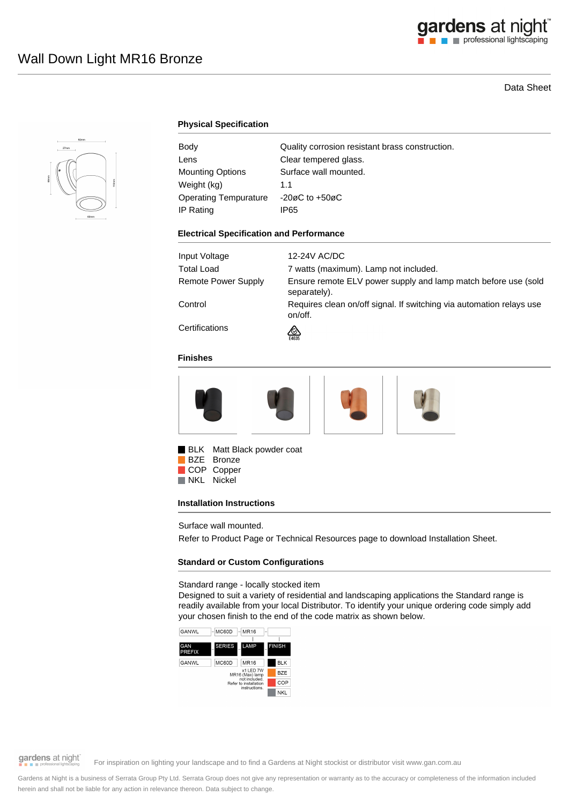## Data Sheet



## **Physical Specification**

| Body                         | Quality corrosion resistant brass construction. |
|------------------------------|-------------------------------------------------|
| Lens                         | Clear tempered glass.                           |
| Mounting Options             | Surface wall mounted.                           |
| Weight (kg)                  | 1.1                                             |
| <b>Operating Tempurature</b> | $-20\varnothing$ C to $+50\varnothing$ C        |
| IP Rating                    | IP65                                            |

#### **Electrical Specification and Performance**

| Input Voltage       | 12-24V AC/DC                                                                    |
|---------------------|---------------------------------------------------------------------------------|
| Total Load          | 7 watts (maximum). Lamp not included.                                           |
| Remote Power Supply | Ensure remote ELV power supply and lamp match before use (sold<br>separately).  |
| Control             | Requires clean on/off signal. If switching via automation relays use<br>on/off. |
| Certifications      | E4635                                                                           |

### **Finishes**



BLK Matt Black powder coat

BZE Bronze COP Copper<br>NKL Nickel Nickel

### **Installation Instructions**

Surface wall mounted.

Refer to Product Page or Technical Resources page to download Installation Sheet.

## **Standard or Custom Configurations**

Standard range - locally stocked item

Designed to suit a variety of residential and landscaping applications the Standard range is readily available from your local Distributor. To identify your unique ordering code simply add your chosen finish to the end of the code matrix as shown below.



# gardens at night

For inspiration on lighting your landscape and to find a Gardens at Night stockist or distributor visit www.gan.com.au

Gardens at Night is a business of Serrata Group Pty Ltd. Serrata Group does not give any representation or warranty as to the accuracy or completeness of the information included herein and shall not be liable for any action in relevance thereon. Data subject to change.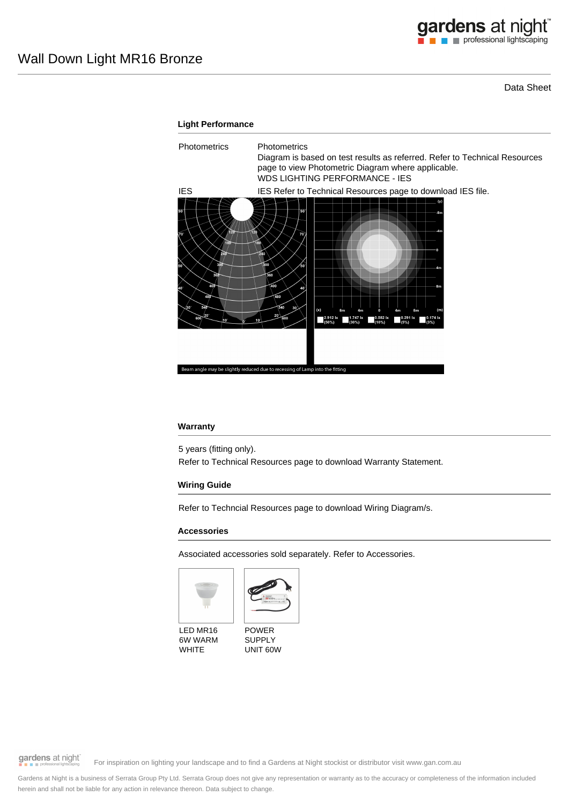Data Sheet



### **Warranty**

5 years (fitting only). Refer to Technical Resources page to download Warranty Statement.

## **Wiring Guide**

Refer to Techncial Resources page to download Wiring Diagram/s.

#### **Accessories**

Associated accessories sold separately. Refer to Accessories.





LED MR16 6W WARM **WHITE** 

POWER SUPPLY UNIT 60W

gardens at night

For inspiration on lighting your landscape and to find a Gardens at Night stockist or distributor visit www.gan.com.au

Gardens at Night is a business of Serrata Group Pty Ltd. Serrata Group does not give any representation or warranty as to the accuracy or completeness of the information included herein and shall not be liable for any action in relevance thereon. Data subject to change.